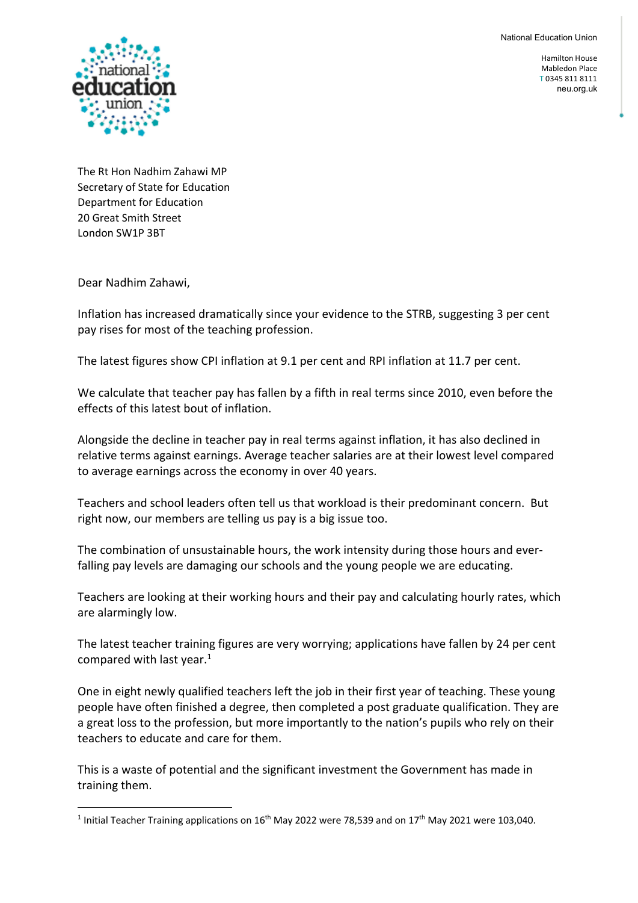**National Education Union** National Education Union

> Hamilton House Mabledon Place T 0345 811 8111 neu.org.uk



The Rt Hon Nadhim Zahawi MP Secretary of State for Education Department for Education 20 Great Smith Street London SW1P 3BT

Dear Nadhim Zahawi,

Inflation has increased dramatically since your evidence to the STRB, suggesting 3 per cent pay rises for most of the teaching profession.

The latest figures show CPI inflation at 9.1 per cent and RPI inflation at 11.7 per cent.

We calculate that teacher pay has fallen by a fifth in real terms since 2010, even before the effects of this latest bout of inflation.

Alongside the decline in teacher pay in real terms against inflation, it has also declined in relative terms against earnings. Average teacher salaries are at their lowest level compared to average earnings across the economy in over 40 years.

Teachers and school leaders often tell us that workload is their predominant concern. But right now, our members are telling us pay is a big issue too.

The combination of unsustainable hours, the work intensity during those hours and everfalling pay levels are damaging our schools and the young people we are educating.

Teachers are looking at their working hours and their pay and calculating hourly rates, which are alarmingly low.

The latest teacher training figures are very worrying; applications have fallen by 24 per cent compared with last year. $1$ 

One in eight newly qualified teachers left the job in their first year of teaching. These young people have often finished a degree, then completed a post graduate qualification. They are a great loss to the profession, but more importantly to the nation's pupils who rely on their teachers to educate and care for them.

This is a waste of potential and the significant investment the Government has made in training them.

<sup>&</sup>lt;sup>1</sup> Initial Teacher Training applications on  $16<sup>th</sup>$  May 2022 were 78,539 and on  $17<sup>th</sup>$  May 2021 were 103,040.